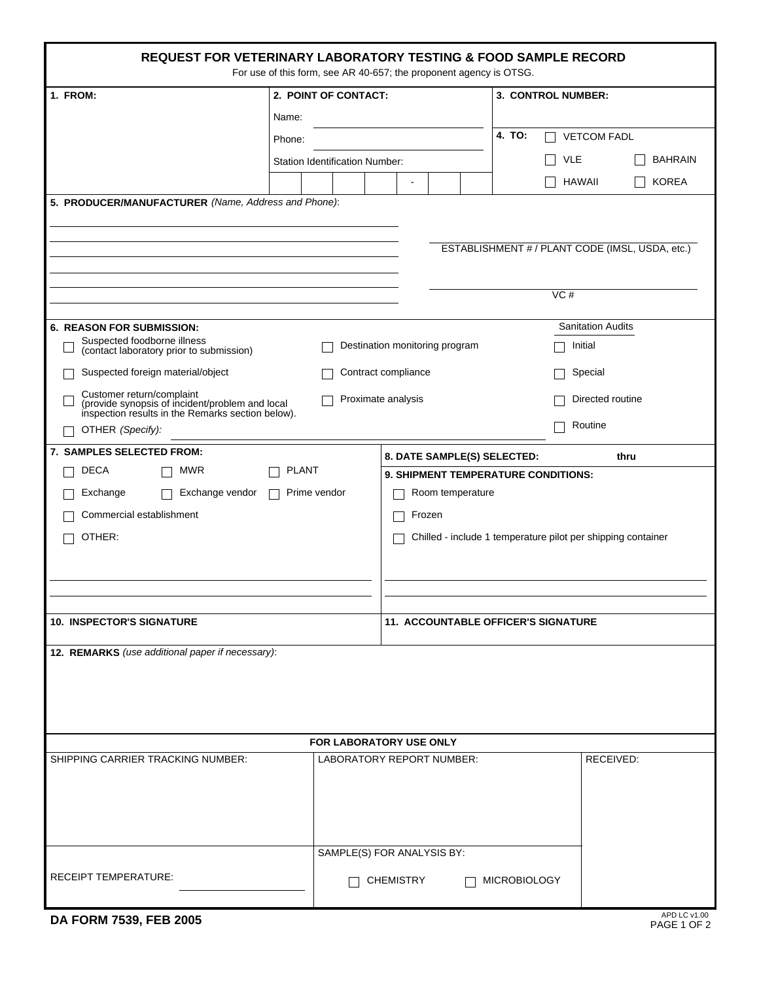| <b>REQUEST FOR VETERINARY LABORATORY TESTING &amp; FOOD SAMPLE RECORD</b><br>For use of this form, see AR 40-657; the proponent agency is OTSG.                             |                                       |                                                              |                                            |  |  |  |
|-----------------------------------------------------------------------------------------------------------------------------------------------------------------------------|---------------------------------------|--------------------------------------------------------------|--------------------------------------------|--|--|--|
| 1. FROM:                                                                                                                                                                    | 2. POINT OF CONTACT:                  |                                                              | 3. CONTROL NUMBER:                         |  |  |  |
|                                                                                                                                                                             | Name:                                 |                                                              |                                            |  |  |  |
|                                                                                                                                                                             | Phone:                                |                                                              | 4. TO:<br><b>VETCOM FADL</b>               |  |  |  |
|                                                                                                                                                                             | <b>Station Identification Number:</b> |                                                              | <b>VLE</b><br><b>BAHRAIN</b>               |  |  |  |
|                                                                                                                                                                             |                                       |                                                              | <b>KOREA</b><br><b>HAWAII</b>              |  |  |  |
| 5. PRODUCER/MANUFACTURER (Name, Address and Phone):                                                                                                                         |                                       |                                                              |                                            |  |  |  |
| ESTABLISHMENT # / PLANT CODE (IMSL, USDA, etc.)<br>VC#                                                                                                                      |                                       |                                                              |                                            |  |  |  |
| <b>6. REASON FOR SUBMISSION:</b>                                                                                                                                            |                                       |                                                              | <b>Sanitation Audits</b>                   |  |  |  |
| Suspected foodborne illness<br>(contact laboratory prior to submission)                                                                                                     |                                       | Destination monitoring program                               | Initial                                    |  |  |  |
| Suspected foreign material/object                                                                                                                                           |                                       | Contract compliance                                          | Special                                    |  |  |  |
| Customer return/complaint<br>Proximate analysis<br>Directed routine<br>(provide synopsis of incident/problem and local<br>inspection results in the Remarks section below). |                                       |                                                              |                                            |  |  |  |
| OTHER (Specify):                                                                                                                                                            |                                       |                                                              | Routine                                    |  |  |  |
| 7. SAMPLES SELECTED FROM:                                                                                                                                                   |                                       | 8. DATE SAMPLE(S) SELECTED:                                  | thru                                       |  |  |  |
| <b>DECA</b><br><b>MWR</b>                                                                                                                                                   | <b>PLANT</b>                          | 9. SHIPMENT TEMPERATURE CONDITIONS:                          |                                            |  |  |  |
| Exchange vendor<br>Exchange                                                                                                                                                 | Prime vendor                          | Room temperature                                             |                                            |  |  |  |
| Commercial establishment                                                                                                                                                    |                                       | Frozen                                                       |                                            |  |  |  |
| OTHER:                                                                                                                                                                      |                                       | Chilled - include 1 temperature pilot per shipping container |                                            |  |  |  |
|                                                                                                                                                                             |                                       |                                                              |                                            |  |  |  |
|                                                                                                                                                                             |                                       |                                                              |                                            |  |  |  |
| <b>10. INSPECTOR'S SIGNATURE</b>                                                                                                                                            |                                       |                                                              | <b>11. ACCOUNTABLE OFFICER'S SIGNATURE</b> |  |  |  |
| 12. REMARKS (use additional paper if necessary):                                                                                                                            |                                       |                                                              |                                            |  |  |  |
|                                                                                                                                                                             |                                       | FOR LABORATORY USE ONLY                                      |                                            |  |  |  |
| SHIPPING CARRIER TRACKING NUMBER:                                                                                                                                           |                                       | LABORATORY REPORT NUMBER:                                    | RECEIVED:                                  |  |  |  |
| <b>RECEIPT TEMPERATURE:</b>                                                                                                                                                 |                                       | SAMPLE(S) FOR ANALYSIS BY:<br><b>CHEMISTRY</b>               | <b>MICROBIOLOGY</b>                        |  |  |  |